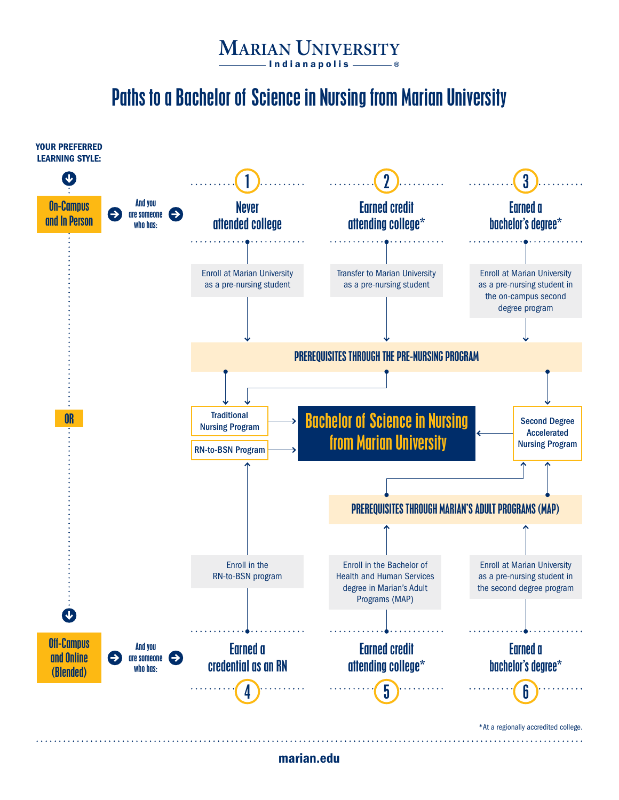Paths to a Bachelor of Science in Nursing from Marian University



marian.edu